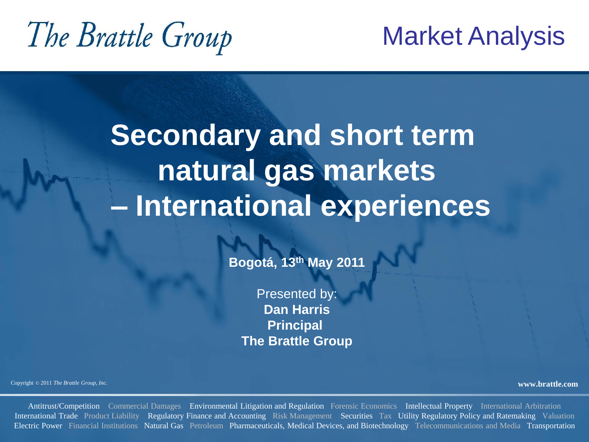# The Brattle Group

#### Market Analysis

# **Secondary and short term natural gas markets – International experiences**

**Bogotá, 13th May 2011**

Presented by: **Dan Harris Principal The Brattle Group**

Copyright © <sup>2011</sup>*The Brattle Group, Inc.* **www.brattle.com**

Antitrust/Competition Commercial Damages Environmental Litigation and Regulation Forensic Economics Intellectual Property International Arbitration International Trade Product Liability Regulatory Finance and Accounting Risk Management Securities Tax Utility Regulatory Policy and Ratemaking Valuation Electric Power Financial Institutions Natural Gas Petroleum Pharmaceuticals, Medical Devices, and Biotechnology Telecommunications and Media Transportation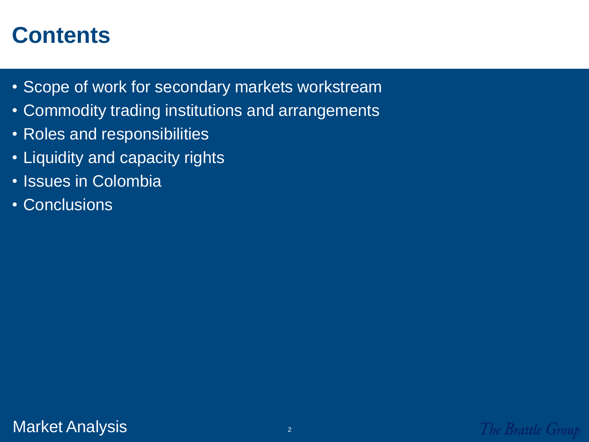- Scope of work for secondary markets workstream
- Commodity trading institutions and arrangements
- Roles and responsibilities
- Liquidity and capacity rights
- Issues in Colombia
- Conclusions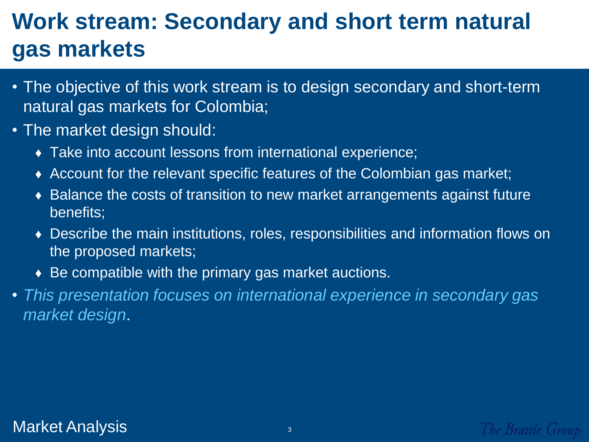#### **Work stream: Secondary and short term natural gas markets**

- The objective of this work stream is to design secondary and short-term natural gas markets for Colombia;
- The market design should:
	- ♦ Take into account lessons from international experience;
	- ♦ Account for the relevant specific features of the Colombian gas market;
	- ♦ Balance the costs of transition to new market arrangements against future benefits;
	- ♦ Describe the main institutions, roles, responsibilities and information flows on the proposed markets;
	- $\bullet$  Be compatible with the primary gas market auctions.
- *This presentation focuses on international experience in secondary gas market design*.

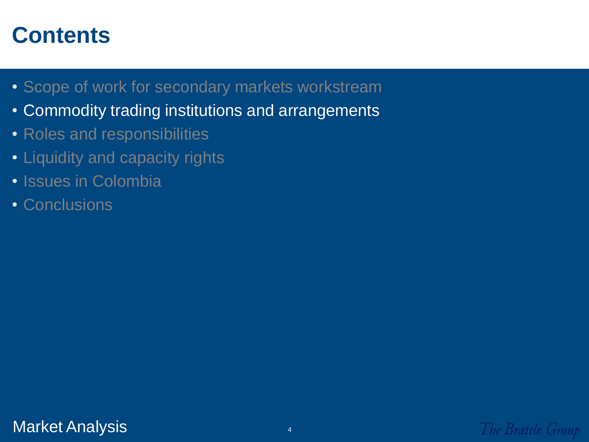- Scope of work for secondary markets workstream
- Commodity trading institutions and arrangements
- Roles and responsibilities
- Liquidity and capacity rights
- Issues in Colombia
- Conclusions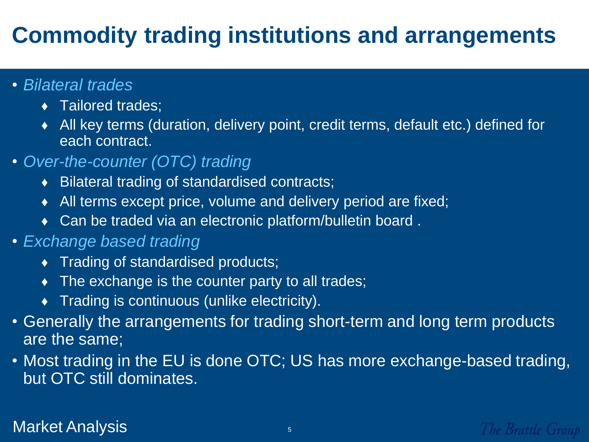#### **Commodity trading institutions and arrangements**

- *Bilateral trades*
	- ◆ Tailored trades;
	- ♦ All key terms (duration, delivery point, credit terms, default etc.) defined for each contract.
- *Over-the-counter (OTC) trading*
	- ♦ Bilateral trading of standardised contracts;
	- ♦ All terms except price, volume and delivery period are fixed;
	- ◆ Can be traded via an electronic platform/bulletin board.
- *Exchange based trading*
	- ♦ Trading of standardised products;
	- $\bullet$  The exchange is the counter party to all trades;
	- ♦ Trading is continuous (unlike electricity).
- Generally the arrangements for trading short-term and long term products are the same;
- Most trading in the EU is done OTC; US has more exchange-based trading, but OTC still dominates.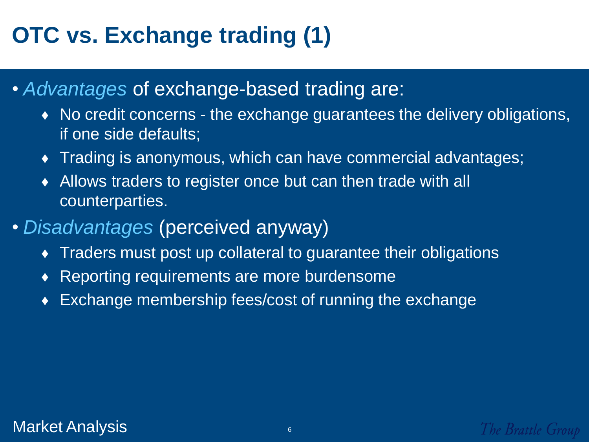## **OTC vs. Exchange trading (1)**

- *Advantages* of exchange-based trading are:
	- ♦ No credit concerns the exchange guarantees the delivery obligations, if one side defaults;
	- ♦ Trading is anonymous, which can have commercial advantages;
	- ♦ Allows traders to register once but can then trade with all counterparties.
- *Disadvantages* (perceived anyway)
	- ♦ Traders must post up collateral to guarantee their obligations
	- ♦ Reporting requirements are more burdensome
	- ♦ Exchange membership fees/cost of running the exchange

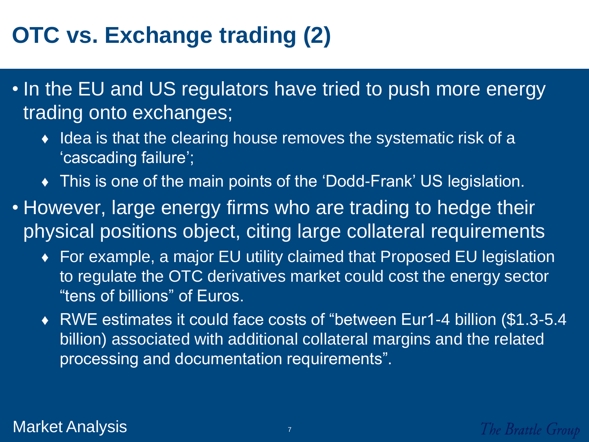#### **OTC vs. Exchange trading (2)**

- In the EU and US regulators have tried to push more energy trading onto exchanges;
	- ♦ Idea is that the clearing house removes the systematic risk of a "cascading failure";
	- This is one of the main points of the 'Dodd-Frank' US legislation.
- However, large energy firms who are trading to hedge their physical positions object, citing large collateral requirements
	- ♦ For example, a major EU utility claimed that Proposed EU legislation to regulate the OTC derivatives market could cost the energy sector "tens of billions" of Euros.
	- ♦ RWE estimates it could face costs of "between Eur1-4 billion (\$1.3-5.4 billion) associated with additional collateral margins and the related processing and documentation requirements".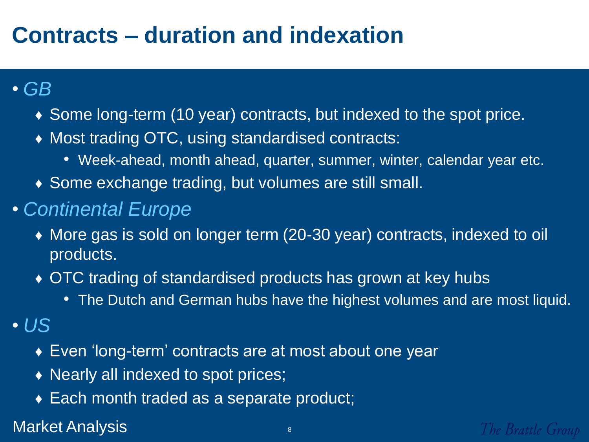#### **Contracts – duration and indexation**

- *GB* 
	- ♦ Some long-term (10 year) contracts, but indexed to the spot price.
	- ♦ Most trading OTC, using standardised contracts:
		- Week-ahead, month ahead, quarter, summer, winter, calendar year etc.
	- ♦ Some exchange trading, but volumes are still small.
- *Continental Europe*
	- ♦ More gas is sold on longer term (20-30 year) contracts, indexed to oil products.
	- ♦ OTC trading of standardised products has grown at key hubs
		- The Dutch and German hubs have the highest volumes and are most liquid.
- *US*
	- ♦ Even "long-term" contracts are at most about one year
	- ♦ Nearly all indexed to spot prices;
	- ◆ Each month traded as a separate product;

Market Analysis **888 and 75 and 76**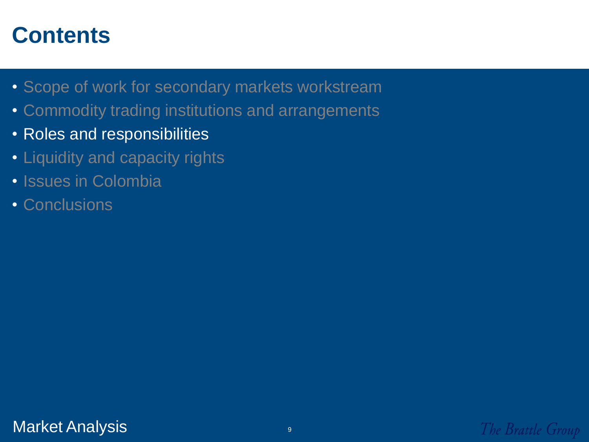- Scope of work for secondary markets workstream
- Commodity trading institutions and arrangements
- Roles and responsibilities
- Liquidity and capacity rights
- Issues in Colombia
- Conclusions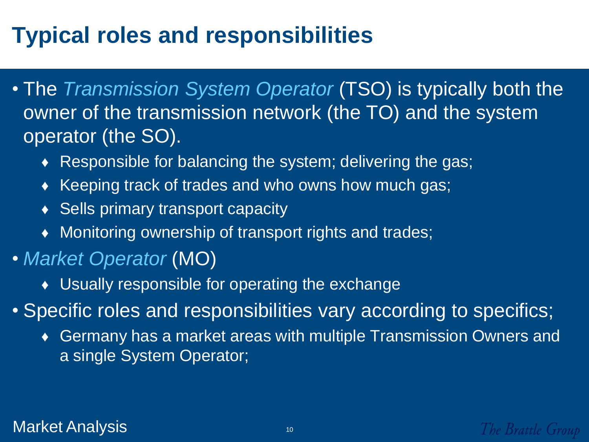## **Typical roles and responsibilities**

- The *Transmission System Operator* (TSO) is typically both the owner of the transmission network (the TO) and the system operator (the SO).
	- ♦ Responsible for balancing the system; delivering the gas;
	- ♦ Keeping track of trades and who owns how much gas;
	- ◆ Sells primary transport capacity
	- ♦ Monitoring ownership of transport rights and trades;
- *Market Operator* (MO)
	- ♦ Usually responsible for operating the exchange
- Specific roles and responsibilities vary according to specifics;
	- ♦ Germany has a market areas with multiple Transmission Owners and a single System Operator;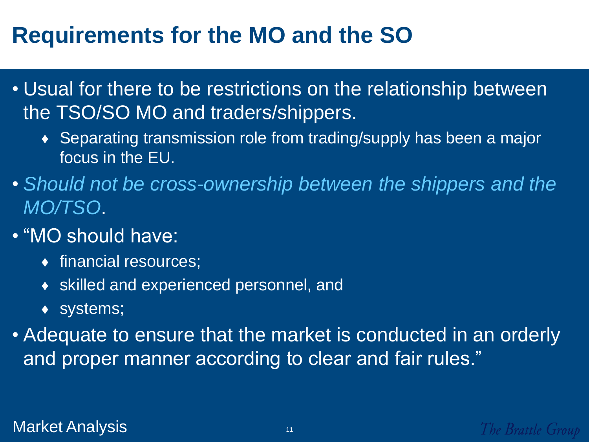#### **Requirements for the MO and the SO**

- Usual for there to be restrictions on the relationship between the TSO/SO MO and traders/shippers.
	- ♦ Separating transmission role from trading/supply has been a major focus in the EU.
- *Should not be cross-ownership between the shippers and the MO/TSO*.
- "MO should have:
	- ♦ financial resources;
	- ♦ skilled and experienced personnel, and
	- ♦ systems;
- Adequate to ensure that the market is conducted in an orderly and proper manner according to clear and fair rules."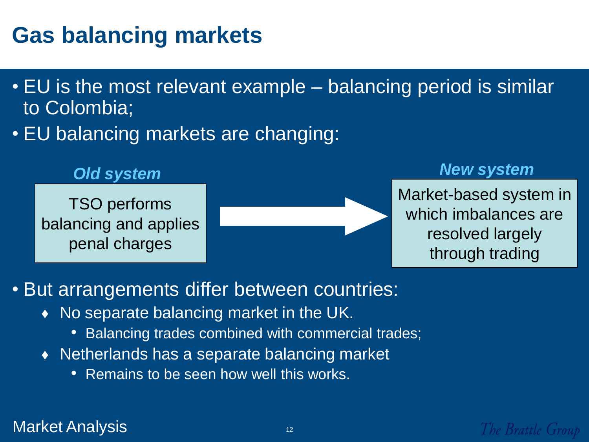#### **Gas balancing markets**

- EU is the most relevant example balancing period is similar to Colombia;
- EU balancing markets are changing:

TSO performs balancing and applies penal charges



#### *Old system New system New system*

Market-based system in which imbalances are resolved largely through trading

#### • But arrangements differ between countries:

- ♦ No separate balancing market in the UK.
	- Balancing trades combined with commercial trades;
- ♦ Netherlands has a separate balancing market
	- Remains to be seen how well this works.

Market Analysis 1212 and 1212 and 1212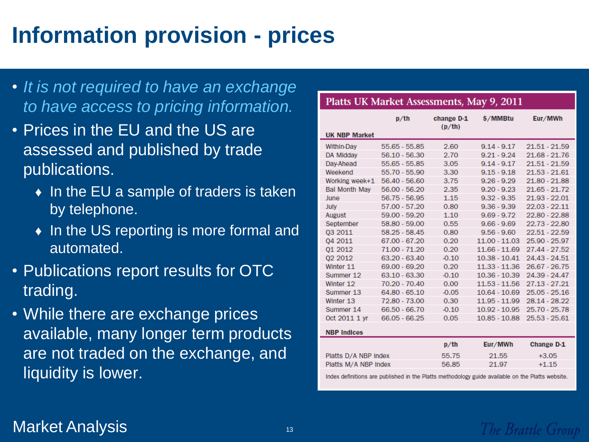## **Information provision - prices**

- *It is not required to have an exchange to have access to pricing information.*
- Prices in the EU and the US are assessed and published by trade publications.
	- ♦ In the EU a sample of traders is taken by telephone.
	- ♦ In the US reporting is more formal and automated.
- Publications report results for OTC trading.
- While there are exchange prices available, many longer term products are not traded on the exchange, and liquidity is lower.

| Platts UK Market Assessments, May 9, 2011                                                       |                 |                      |                 |                   |
|-------------------------------------------------------------------------------------------------|-----------------|----------------------|-----------------|-------------------|
| <b>UK NBP Market</b>                                                                            | $p$ /th         | change D-1<br>(p/th) | \$/MMBtu        | Eur/MWh           |
| <b>Within-Day</b>                                                                               | 55.65 - 55.85   | 2.60                 | $9.14 - 9.17$   | $21.51 - 21.59$   |
| DA Midday                                                                                       | 56.10 - 56.30   | 2.70                 | $9.21 - 9.24$   | 21.68 - 21.76     |
| Day-Ahead                                                                                       | 55.65 - 55.85   | 3.05                 | $9.14 - 9.17$   | 21.51 - 21.59     |
| Weekend                                                                                         | 55.70 - 55.90   | 3.30                 | $9.15 - 9.18$   | 21.53 - 21.61     |
| Working week+1                                                                                  | 56.40 - 56.60   | 3.75                 | $9.26 - 9.29$   | 21.80 - 21.88     |
| <b>Bal Month May</b>                                                                            | 56.00 - 56.20   | 2.35                 | $9.20 - 9.23$   | 21.65 - 21.72     |
| June                                                                                            | 56.75 - 56.95   | 1.15                 | $9.32 - 9.35$   | 21.93 - 22.01     |
| <b>July</b>                                                                                     | 57.00 - 57.20   | 0.80                 | $9.36 - 9.39$   | 22.03 - 22.11     |
| August                                                                                          | 59.00 - 59.20   | 1.10                 | $9.69 - 9.72$   | 22.80 - 22.88     |
| September                                                                                       | 58.80 - 59.00   | 0.55                 | $9.66 - 9.69$   | 22.73 - 22.80     |
| 03 2011                                                                                         | 58.25 - 58.45   | 0.80                 | $9.56 - 9.60$   | 22.51 - 22.59     |
| 04 2011                                                                                         | 67.00 - 67.20   | 0.20                 | 11.00 - 11.03   | 25.90 - 25.97     |
| 01 2012                                                                                         | 71.00 - 71.20   | 0.20                 | 11.66 - 11.69   | 27.44 - 27.52     |
| 02 2012                                                                                         | 63.20 - 63.40   | $-0.10$              | $10.38 - 10.41$ | 24.43 - 24.51     |
| Winter 11                                                                                       | 69.00 - 69.20   | 0.20                 | 11.33 - 11.36   | 26.67 - 26.75     |
| Summer 12                                                                                       | 63.10 - 63.30   | $-0.10$              | $10.36 - 10.39$ | 24.39 - 24.47     |
| Winter 12                                                                                       | 70.20 - 70.40   | 0.00                 | $11.53 - 11.56$ | 27.13 - 27.21     |
| Summer 13                                                                                       | 64.80 - 65.10   | $-0.05$              | $10.64 - 10.69$ | 25.05 - 25.16     |
| Winter 13                                                                                       | 72.80 - 73.00   | 0.30                 | 11.95 - 11.99   | 28.14 - 28.22     |
| Summer 14                                                                                       | 66.50 - 66.70   | $-0.10$              | $10.92 - 10.95$ | 25.70 - 25.78     |
| Oct 2011 1 yr                                                                                   | $66.05 - 66.25$ | 0.05                 | $10.85 - 10.88$ | 25.53 - 25.61     |
| <b>NBP Indices</b>                                                                              |                 |                      |                 |                   |
|                                                                                                 |                 | $p$ /th              | Eur/MWh         | <b>Change D-1</b> |
| Platts D/A NBP index                                                                            |                 | 55.75                | 21.55           | $+3.05$           |
| Platts M/A NBP Index                                                                            |                 | 56.85                | 21.97           | $+1.15$           |
| Indox definitions are published in the Dlotte methodology quide quailable on the Dlotte website |                 |                      |                 |                   |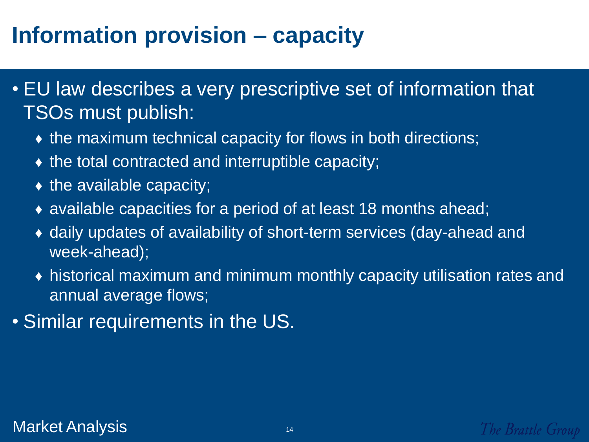## **Information provision – capacity**

- EU law describes a very prescriptive set of information that TSOs must publish:
	- $\bullet$  the maximum technical capacity for flows in both directions;
	- $\bullet$  the total contracted and interruptible capacity;
	- $\bullet$  the available capacity;
	- ♦ available capacities for a period of at least 18 months ahead;
	- ♦ daily updates of availability of short-term services (day-ahead and week-ahead);
	- ♦ historical maximum and minimum monthly capacity utilisation rates and annual average flows;
- Similar requirements in the US.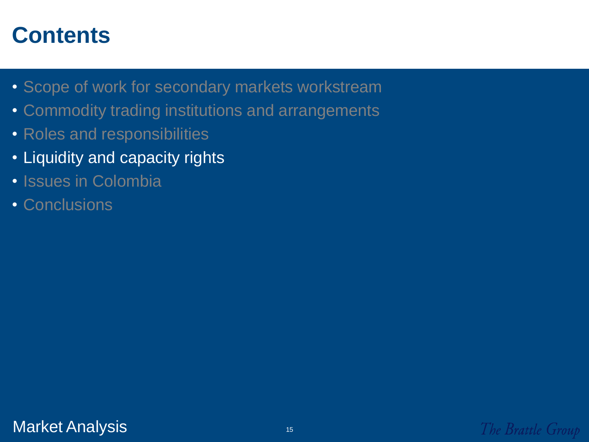- Scope of work for secondary markets workstream
- Commodity trading institutions and arrangements
- Roles and responsibilities
- Liquidity and capacity rights
- Issues in Colombia
- Conclusions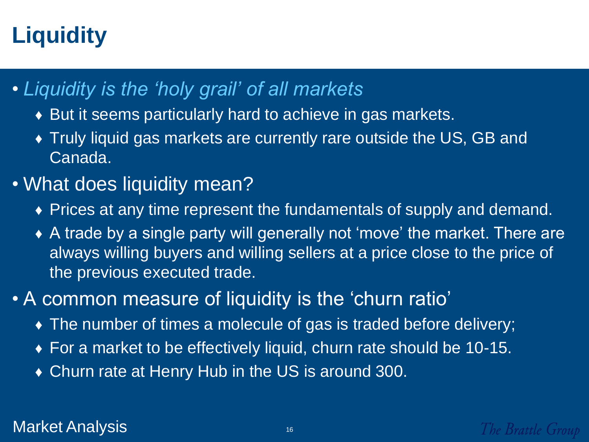## **Liquidity**

- *Liquidity is the 'holy grail' of all markets*
	- ♦ But it seems particularly hard to achieve in gas markets.
	- ♦ Truly liquid gas markets are currently rare outside the US, GB and Canada.
- What does liquidity mean?
	- ♦ Prices at any time represent the fundamentals of supply and demand.
	- ♦ A trade by a single party will generally not "move" the market. There are always willing buyers and willing sellers at a price close to the price of the previous executed trade.
- A common measure of liquidity is the "churn ratio"
	- ♦ The number of times a molecule of gas is traded before delivery;
	- ♦ For a market to be effectively liquid, churn rate should be 10-15.
	- ♦ Churn rate at Henry Hub in the US is around 300.

#### Market Analysis **1616** and 1616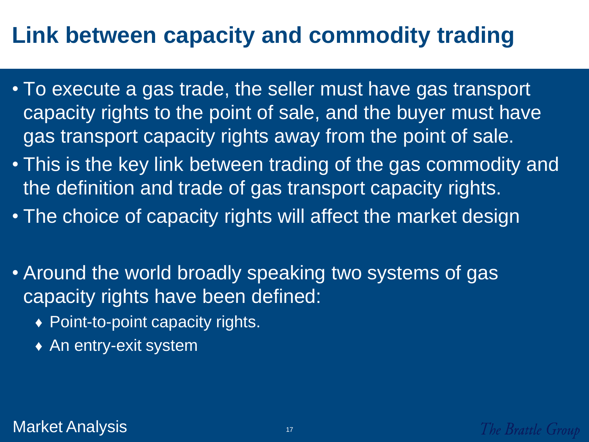#### **Link between capacity and commodity trading**

- To execute a gas trade, the seller must have gas transport capacity rights to the point of sale, and the buyer must have gas transport capacity rights away from the point of sale.
- This is the key link between trading of the gas commodity and the definition and trade of gas transport capacity rights.
- The choice of capacity rights will affect the market design
- Around the world broadly speaking two systems of gas capacity rights have been defined:
	- ♦ Point-to-point capacity rights.
	- ♦ An entry-exit system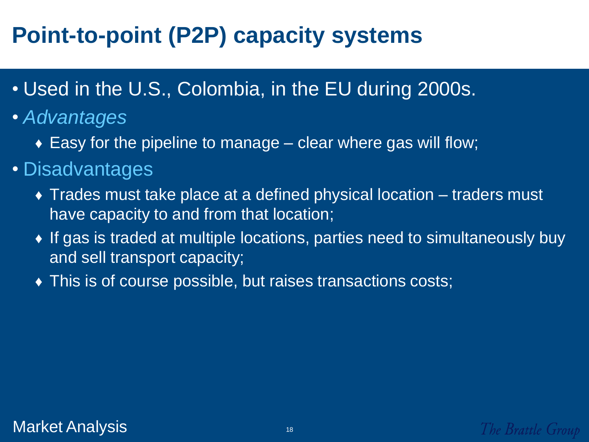## **Point-to-point (P2P) capacity systems**

- Used in the U.S., Colombia, in the EU during 2000s.
- *Advantages*
	- $\bullet$  Easy for the pipeline to manage clear where gas will flow;
- Disadvantages
	- ♦ Trades must take place at a defined physical location traders must have capacity to and from that location;
	- ♦ If gas is traded at multiple locations, parties need to simultaneously buy and sell transport capacity;
	- ♦ This is of course possible, but raises transactions costs;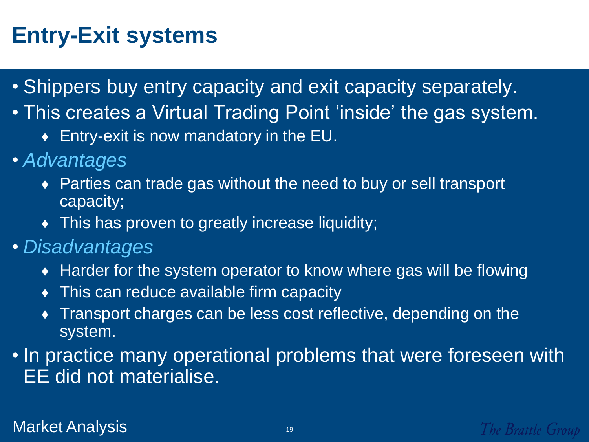#### **Entry-Exit systems**

- Shippers buy entry capacity and exit capacity separately.
- This creates a Virtual Trading Point 'inside' the gas system.
	- ♦ Entry-exit is now mandatory in the EU.
- *Advantages* 
	- ♦ Parties can trade gas without the need to buy or sell transport capacity;
	- ♦ This has proven to greatly increase liquidity;
- *Disadvantages* 
	- ♦ Harder for the system operator to know where gas will be flowing
	- $\bullet$  This can reduce available firm capacity
	- ♦ Transport charges can be less cost reflective, depending on the system.
- In practice many operational problems that were foreseen with EE did not materialise.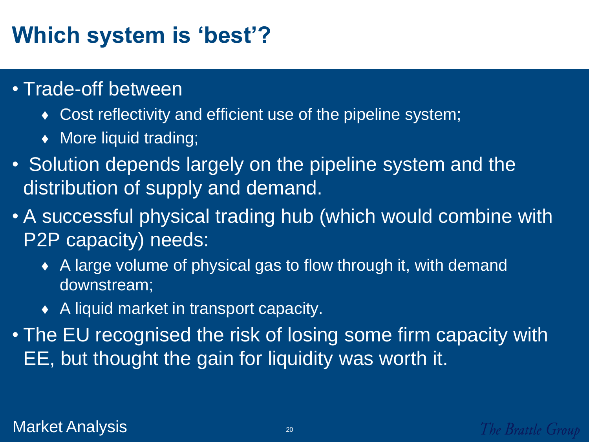#### **Which system is 'best'?**

- Trade-off between
	- Cost reflectivity and efficient use of the pipeline system;
	- ♦ More liquid trading;
- Solution depends largely on the pipeline system and the distribution of supply and demand.
- A successful physical trading hub (which would combine with P2P capacity) needs:
	- ♦ A large volume of physical gas to flow through it, with demand downstream;
	- ♦ A liquid market in transport capacity.
- The EU recognised the risk of losing some firm capacity with EE, but thought the gain for liquidity was worth it.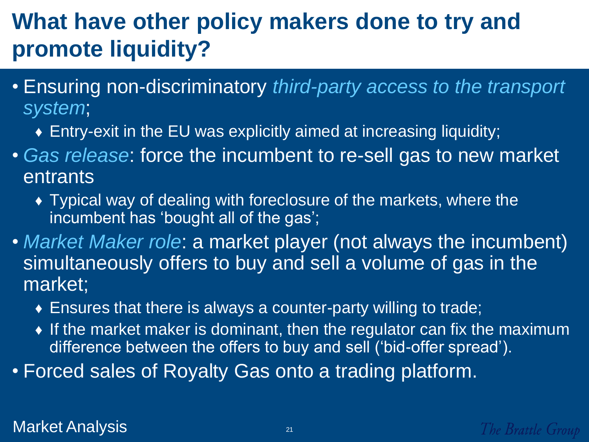#### **What have other policy makers done to try and promote liquidity?**

- Ensuring non-discriminatory *third-party access to the transport system*;
	- ♦ Entry-exit in the EU was explicitly aimed at increasing liquidity;
- *Gas release*: force the incumbent to re-sell gas to new market entrants
	- ♦ Typical way of dealing with foreclosure of the markets, where the incumbent has 'bought all of the gas';
- *Market Maker role*: a market player (not always the incumbent) simultaneously offers to buy and sell a volume of gas in the market;
	- ♦ Ensures that there is always a counter-party willing to trade;
	- ♦ If the market maker is dominant, then the regulator can fix the maximum difference between the offers to buy and sell ("bid-offer spread").
- Forced sales of Royalty Gas onto a trading platform.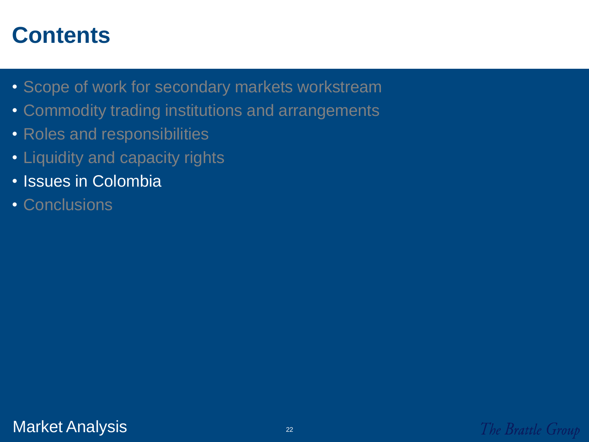- Scope of work for secondary markets workstream
- Commodity trading institutions and arrangements
- Roles and responsibilities
- Liquidity and capacity rights
- Issues in Colombia
- Conclusions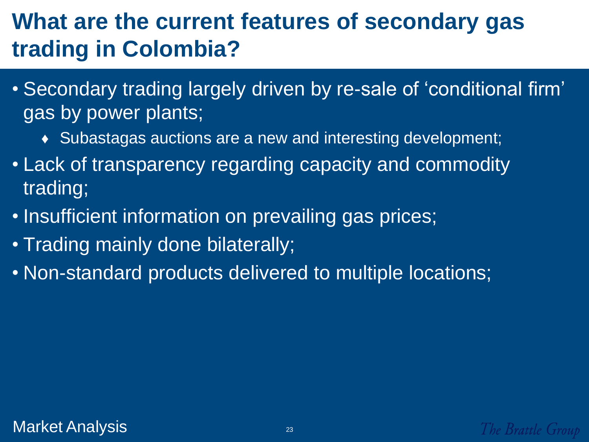#### **What are the current features of secondary gas trading in Colombia?**

- Secondary trading largely driven by re-sale of "conditional firm" gas by power plants;
	- ♦ Subastagas auctions are a new and interesting development;
- Lack of transparency regarding capacity and commodity trading;
- Insufficient information on prevailing gas prices;
- Trading mainly done bilaterally;
- Non-standard products delivered to multiple locations;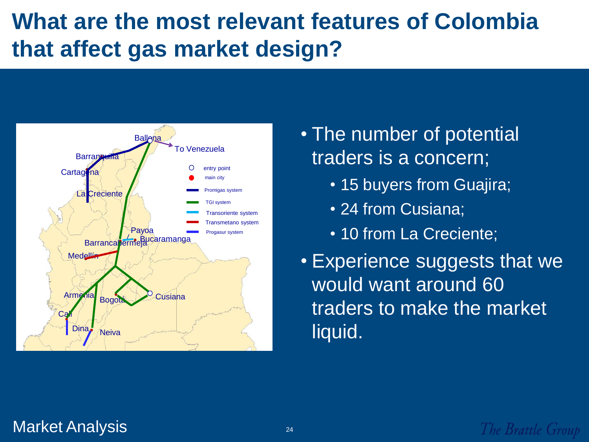#### **What are the most relevant features of Colombia that affect gas market design?**



- The number of potential traders is a concern;
	- 15 buyers from Guajira;
	- 24 from Cusiana;
	- 10 from La Creciente;

• Experience suggests that we would want around 60 traders to make the market liquid.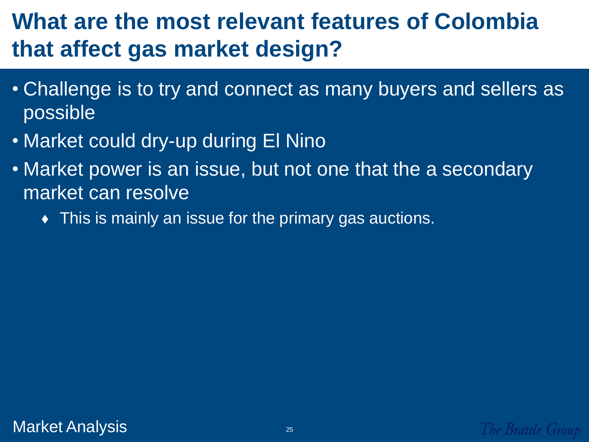#### **What are the most relevant features of Colombia that affect gas market design?**

- Challenge is to try and connect as many buyers and sellers as possible
- Market could dry-up during El Nino
- Market power is an issue, but not one that the a secondary market can resolve
	- $\bullet$  This is mainly an issue for the primary gas auctions.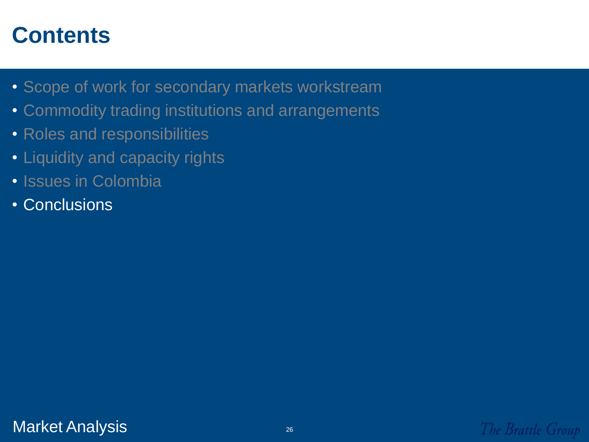- Scope of work for secondary markets workstream
- Commodity trading institutions and arrangements
- Roles and responsibilities
- Liquidity and capacity rights
- Issues in Colombia
- Conclusions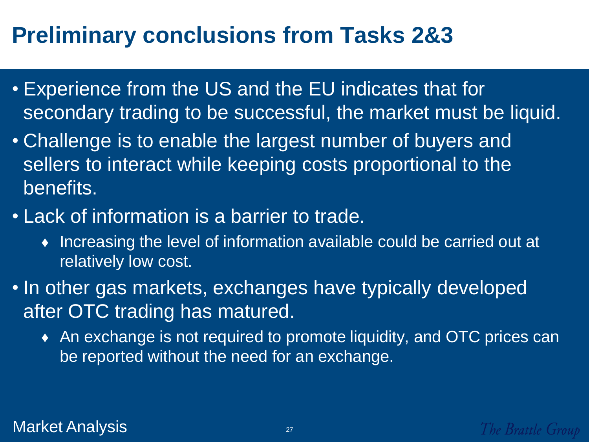#### **Preliminary conclusions from Tasks 2&3**

- Experience from the US and the EU indicates that for secondary trading to be successful, the market must be liquid.
- Challenge is to enable the largest number of buyers and sellers to interact while keeping costs proportional to the benefits.
- Lack of information is a barrier to trade.
	- ♦ Increasing the level of information available could be carried out at relatively low cost.
- In other gas markets, exchanges have typically developed after OTC trading has matured.
	- ♦ An exchange is not required to promote liquidity, and OTC prices can be reported without the need for an exchange.